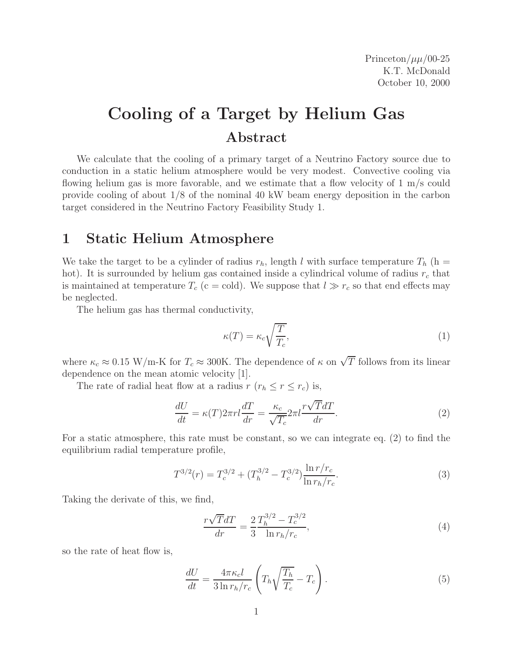Princeton/ $\mu\mu/00-25$ K.T. McDonald October 10, 2000

## **Cooling of a Target by Helium Gas Abstract**

We calculate that the cooling of a primary target of a Neutrino Factory source due to conduction in a static helium atmosphere would be very modest. Convective cooling via flowing helium gas is more favorable, and we estimate that a flow velocity of 1 m/s could provide cooling of about 1/8 of the nominal 40 kW beam energy deposition in the carbon target considered in the Neutrino Factory Feasibility Study 1.

## **1 Static Helium Atmosphere**

We take the target to be a cylinder of radius  $r_h$ , length l with surface temperature  $T_h$  (h = hot). It is surrounded by helium gas contained inside a cylindrical volume of radius r*<sup>c</sup>* that is maintained at temperature  $T_c$  (c = cold). We suppose that  $l \gg r_c$  so that end effects may be neglected.

The helium gas has thermal conductivity,

$$
\kappa(T) = \kappa_c \sqrt{\frac{T}{T_c}},\tag{1}
$$

where  $\kappa_c \approx 0.15$  W/m-K for  $T_c \approx 300$ K. The dependence of  $\kappa$  on  $\sqrt{T}$  follows from its linear dependence on the mean atomic velocity [1].

The rate of radial heat flow at a radius  $r (r_h \le r \le r_c)$  is,

$$
\frac{dU}{dt} = \kappa(T)2\pi rl\frac{dT}{dr} = \frac{\kappa_c}{\sqrt{T_c}}2\pi l \frac{r\sqrt{T}dT}{dr}.
$$
\n(2)

For a static atmosphere, this rate must be constant, so we can integrate eq. (2) to find the equilibrium radial temperature profile,

$$
T^{3/2}(r) = T_c^{3/2} + (T_h^{3/2} - T_c^{3/2}) \frac{\ln r/r_c}{\ln r_h/r_c}.
$$
 (3)

Taking the derivate of this, we find,

$$
\frac{r\sqrt{T}dT}{dr} = \frac{2}{3} \frac{T_h^{3/2} - T_c^{3/2}}{\ln r_h/r_c},\tag{4}
$$

so the rate of heat flow is,

$$
\frac{dU}{dt} = \frac{4\pi\kappa_c l}{3\ln r_h/r_c} \left( T_h \sqrt{\frac{T_h}{T_c}} - T_c \right). \tag{5}
$$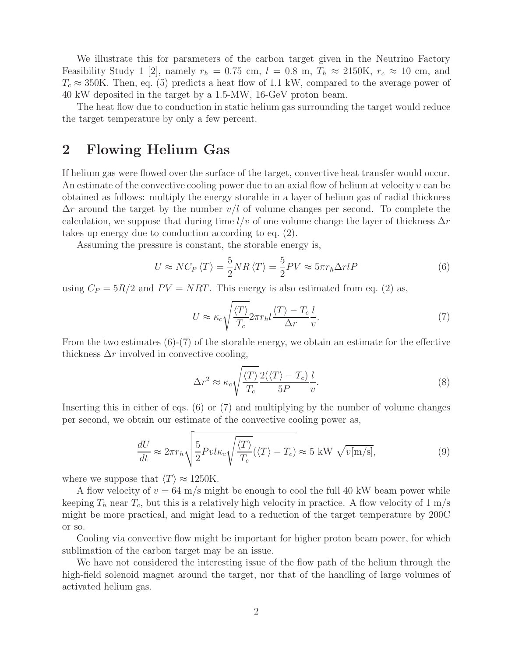We illustrate this for parameters of the carbon target given in the Neutrino Factory Feasibility Study 1 [2], namely  $r_h = 0.75$  cm,  $l = 0.8$  m,  $T_h \approx 2150$ K,  $r_c \approx 10$  cm, and  $T_c \approx 350$ K. Then, eq. (5) predicts a heat flow of 1.1 kW, compared to the average power of 40 kW deposited in the target by a 1.5-MW, 16-GeV proton beam.

The heat flow due to conduction in static helium gas surrounding the target would reduce the target temperature by only a few percent.

## **2 Flowing Helium Gas**

If helium gas were flowed over the surface of the target, convective heat transfer would occur. An estimate of the convective cooling power due to an axial flow of helium at velocity  $v$  can be obtained as follows: multiply the energy storable in a layer of helium gas of radial thickness  $\Delta r$  around the target by the number  $v/l$  of volume changes per second. To complete the calculation, we suppose that during time  $l/v$  of one volume change the layer of thickness  $\Delta r$ takes up energy due to conduction according to eq. (2).

Assuming the pressure is constant, the storable energy is,

$$
U \approx NC_P \langle T \rangle = \frac{5}{2} NR \langle T \rangle = \frac{5}{2} PV \approx 5\pi r_h \Delta r lP \tag{6}
$$

using  $C_P = 5R/2$  and  $PV = NRT$ . This energy is also estimated from eq. (2) as,

$$
U \approx \kappa_c \sqrt{\frac{\langle T \rangle}{T_c}} 2\pi r_h l \frac{\langle T \rangle - T_c}{\Delta r} \frac{l}{v}.
$$
\n
$$
(7)
$$

From the two estimates  $(6)-(7)$  of the storable energy, we obtain an estimate for the effective thickness  $\Delta r$  involved in convective cooling,

$$
\Delta r^2 \approx \kappa_c \sqrt{\frac{\langle T \rangle}{T_c}} \frac{2(\langle T \rangle - T_c)}{5P} \frac{l}{v}.
$$
\n(8)

Inserting this in either of eqs. (6) or (7) and multiplying by the number of volume changes per second, we obtain our estimate of the convective cooling power as,

$$
\frac{dU}{dt} \approx 2\pi r_h \sqrt{\frac{5}{2}Pvl\kappa_c\sqrt{\frac{\langle T\rangle}{T_c}}(\langle T\rangle - T_c)} \approx 5 \text{ kW } \sqrt{v[m/s]},\tag{9}
$$

where we suppose that  $\langle T \rangle \approx 1250$ K.

A flow velocity of  $v = 64$  m/s might be enough to cool the full 40 kW beam power while keeping  $T_h$  near  $T_c$ , but this is a relatively high velocity in practice. A flow velocity of 1 m/s might be more practical, and might lead to a reduction of the target temperature by 200C or so.

Cooling via convective flow might be important for higher proton beam power, for which sublimation of the carbon target may be an issue.

We have not considered the interesting issue of the flow path of the helium through the high-field solenoid magnet around the target, nor that of the handling of large volumes of activated helium gas.